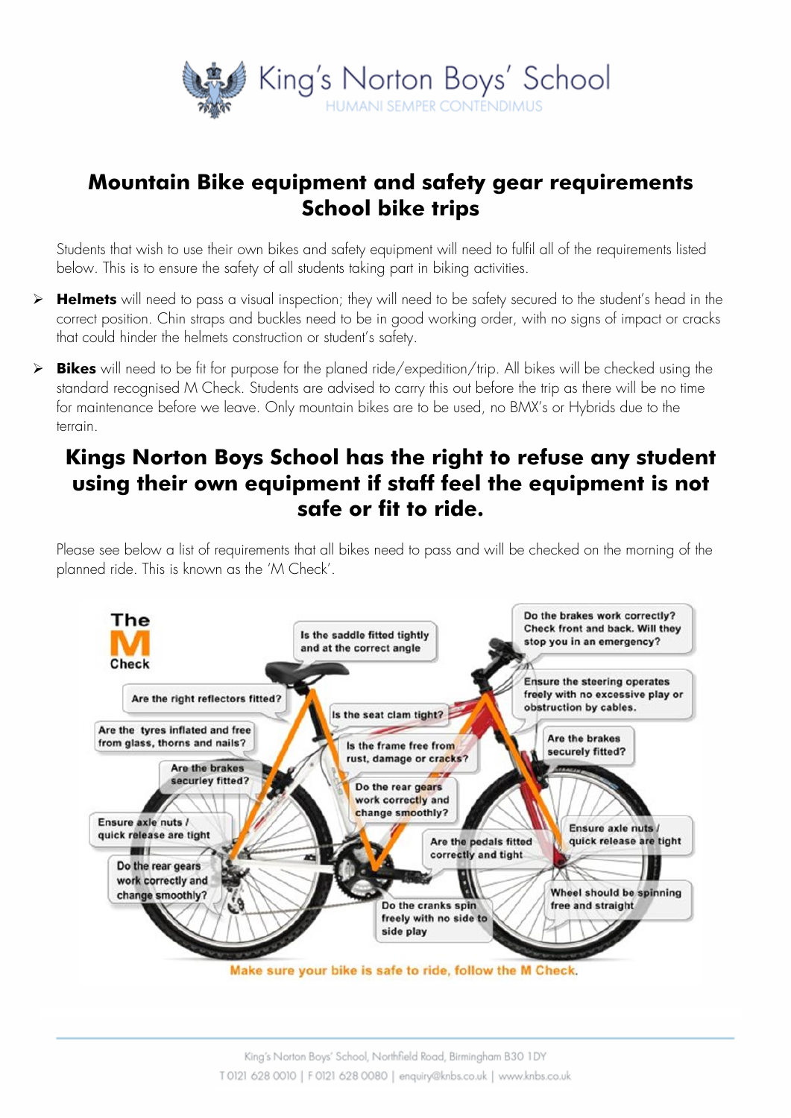

## **Mountain Bike equipment and safety gear requirements School bike trips**

Students that wish to use their own bikes and safety equipment will need to fulfil all of the requirements listed below. This is to ensure the safety of all students taking part in biking activities.

- ➢ **Helmets** will need to pass a visual inspection; they will need to be safety secured to the student's head in the correct position. Chin straps and buckles need to be in good working order, with no signs of impact or cracks that could hinder the helmets construction or student's safety.
- ➢ **Bikes** will need to be fit for purpose for the planed ride/expedition/trip. All bikes will be checked using the standard recognised M Check. Students are advised to carry this out before the trip as there will be no time for maintenance before we leave. Only mountain bikes are to be used, no BMX's or Hybrids due to the terrain.

# **Kings Norton Boys School has the right to refuse any student using their own equipment if staff feel the equipment is not safe or fit to ride.**

Please see below a list of requirements that all bikes need to pass and will be checked on the morning of the planned ride. This is known as the 'M Check'.

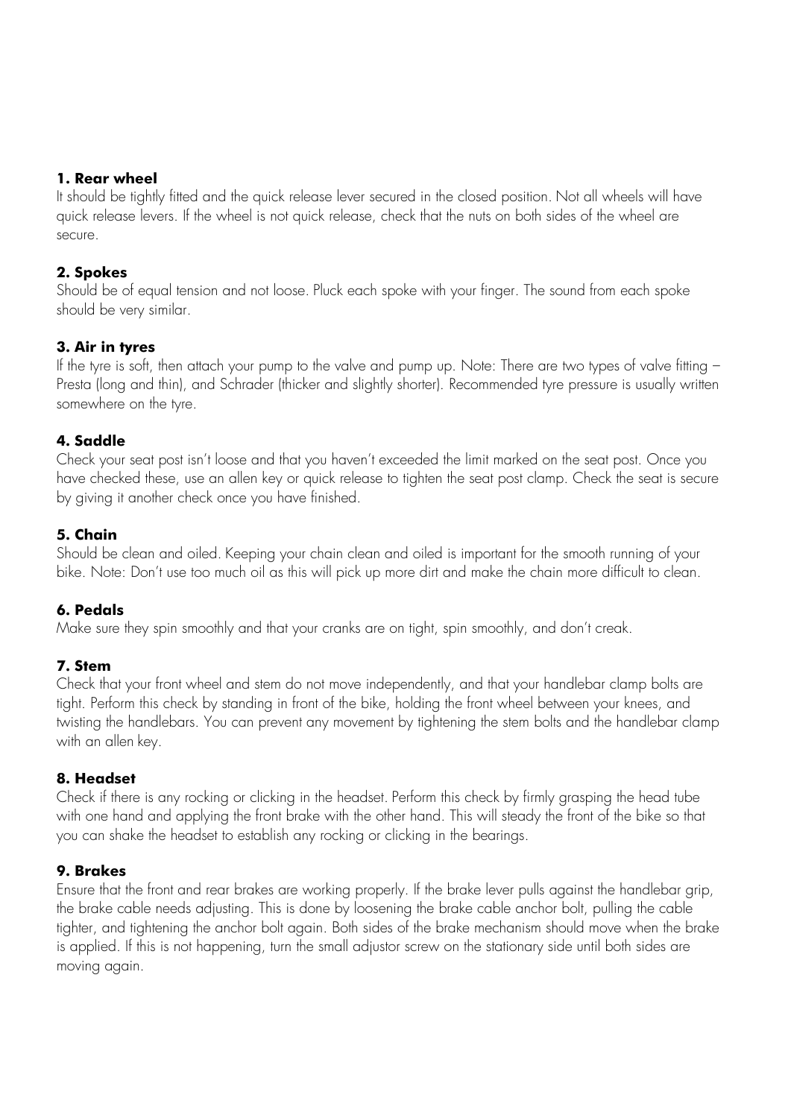#### **1. Rear wheel**

It should be tightly fitted and the quick release lever secured in the closed position. Not all wheels will have quick release levers. If the wheel is not quick release, check that the nuts on both sides of the wheel are secure.

### **2. Spokes**

Should be of equal tension and not loose. Pluck each spoke with your finger. The sound from each spoke should be very similar.

#### **3. Air in tyres**

If the tyre is soft, then attach your pump to the valve and pump up. Note: There are two types of valve fitting – Presta (long and thin), and Schrader (thicker and slightly shorter). Recommended tyre pressure is usually written somewhere on the tyre.

## **4. Saddle**

Check your seat post isn't loose and that you haven't exceeded the limit marked on the seat post. Once you have checked these, use an allen key or quick release to tighten the seat post clamp. Check the seat is secure by giving it another check once you have finished.

## **5. Chain**

Should be clean and oiled. Keeping your chain clean and oiled is important for the smooth running of your bike. Note: Don't use too much oil as this will pick up more dirt and make the chain more difficult to clean.

#### **6. Pedals**

Make sure they spin smoothly and that your cranks are on tight, spin smoothly, and don't creak.

#### **7. Stem**

Check that your front wheel and stem do not move independently, and that your handlebar clamp bolts are tight. Perform this check by standing in front of the bike, holding the front wheel between your knees, and twisting the handlebars. You can prevent any movement by tightening the stem bolts and the handlebar clamp with an allen key.

#### **8. Headset**

Check if there is any rocking or clicking in the headset. Perform this check by firmly grasping the head tube with one hand and applying the front brake with the other hand. This will steady the front of the bike so that you can shake the headset to establish any rocking or clicking in the bearings.

#### **9. Brakes**

Ensure that the front and rear brakes are working properly. If the brake lever pulls against the handlebar grip, the brake cable needs adjusting. This is done by loosening the brake cable anchor bolt, pulling the cable tighter, and tightening the anchor bolt again. Both sides of the brake mechanism should move when the brake is applied. If this is not happening, turn the small adjustor screw on the stationary side until both sides are moving again.